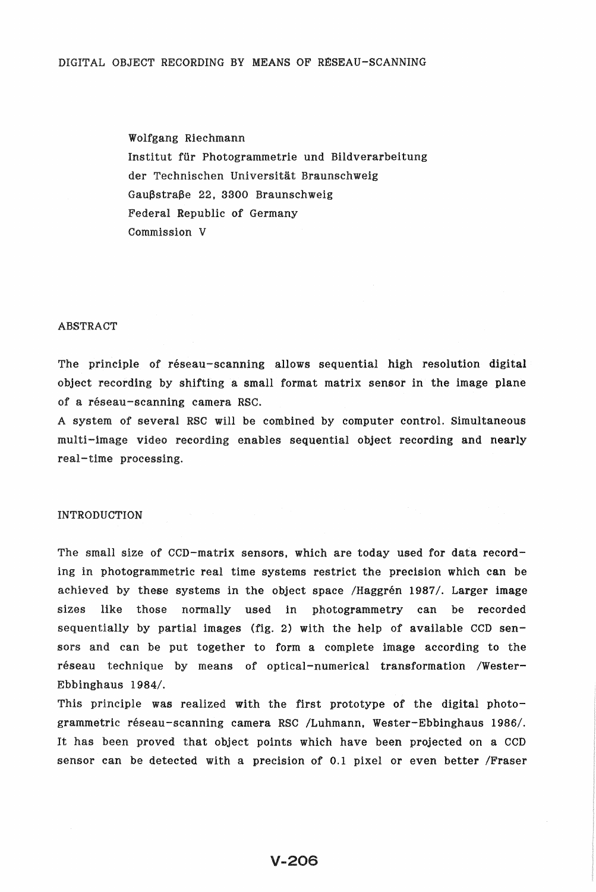Wolfgang Riechmann Institut ffir Photogrammetrie und Bildverarbeitung der Technischen Universität Braunschweig Gaußstraße 22, 3300 Braunschweig Federal Republic of Germany Commission V

### ABSTRACT

The principle of réseau-scanning allows sequential high resolution digital object recording by shifting a small format matrix sensor in the image plane of a réseau-scanning camera RSC.

A system of several RSC will be combined by computer control. Simultaneous multi-image video recording enables sequential object recording and nearly real-time processing.

#### INTRODUCTION

The small size of CCD-matrix sensors, which are today used for data recording in photogrammetric real time systems restrict the precision which can be achieved by these systems in the object space /Haggren 1987/. Larger image sizes like those normally used in photogrammetry can be recorded sequentially by partial images (fig. 2) with the help of available CCD sensors and can be put together to form a complete image according to the réseau technique by means of optical-numerical transformation /Wester-Ebbinghaus *1984/.* 

This principle was realized with the first prototype of the digital photogrammetric réseau-scanning camera RSC /Luhmann, Wester-Ebbinghaus 1986/. It has been proved that object points which have been projected on a CCD sensor can be detected with a precision of 0.1 pixel or even better /Fraser

# **V-206**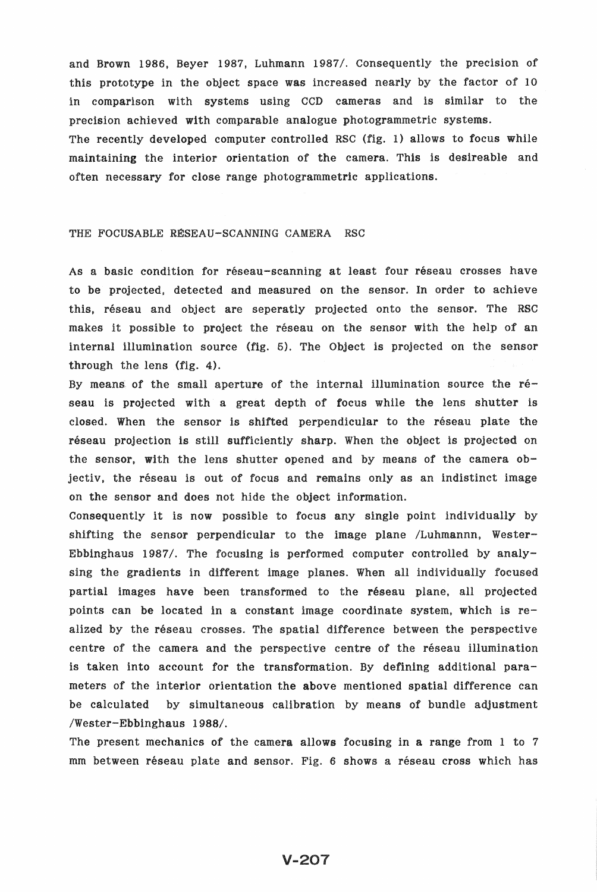and Brown 1986, Beyer 1987, Luhmann 1987/. Consequently the precision of this prototype in the object space was increased nearly by the factor of 10 in comparison with systems using CCD cameras and is similar to the precision achieved with comparable analogue photogrammetric systems. The recently developed computer controlled RSC (fig. 1) allows to focus while maintaining the interior orientation of the camera. This is desireable and often necessary for close range photogrammetric applications.

### THE FOCUSABLE RÉSEAU-SCANNING CAMERA RSC

As a basic condition for réseau-scanning at least four réseau crosses have to be projected, detected and measured on the sensor. In order to achieve this, réseau and object are seperatly projected onto the sensor. The RSC makes it possible to project the réseau on the sensor with the help of an internal illumination source (fig. 5). The Object is projected on the sensor through the lens (fig. 4).

By means of the small aperture of the internal illumination source the réseau is projected with a great depth of focus while the lens shutter is closed. When the sensor is shifted perpendicular to the réseau plate the réseau projection is still sufficiently sharp. When the object is projected on the sensor, with the lens shutter opened and by means of the camera  $ob$ jectiv, the réseau is out of focus and remains only as an indistinct image on the sensor and does not hide the object information.

Consequently it is now possible to focus any single point individually by shifting the sensor perpendicular to the image plane /Luhm<mark>a</mark>nnn, Wester-Ebbinghaus 1987/. The focusing is performed computer controlled by analysing the gradients in different image planes. When all individually focused partial images have been transformed to the reseau plane, all projected points can be located in a constant image coordinate system, which is  $re$ alized by the réseau crosses. The spatial difference between the perspective centre of the camera and the perspective centre of the réseau illumination is taken into account for the transformation. By defining additional parameters of the interior orientation the above mentioned spatial difference can be calculated by simultaneous calibration by means of bundle adjustment /Wester-Ebbinghaus 1988/.

The present mechanics of the camera allows focusing in a range from 1 to 7 mm between réseau plate and sensor. Fig. 6 shows a réseau cross which has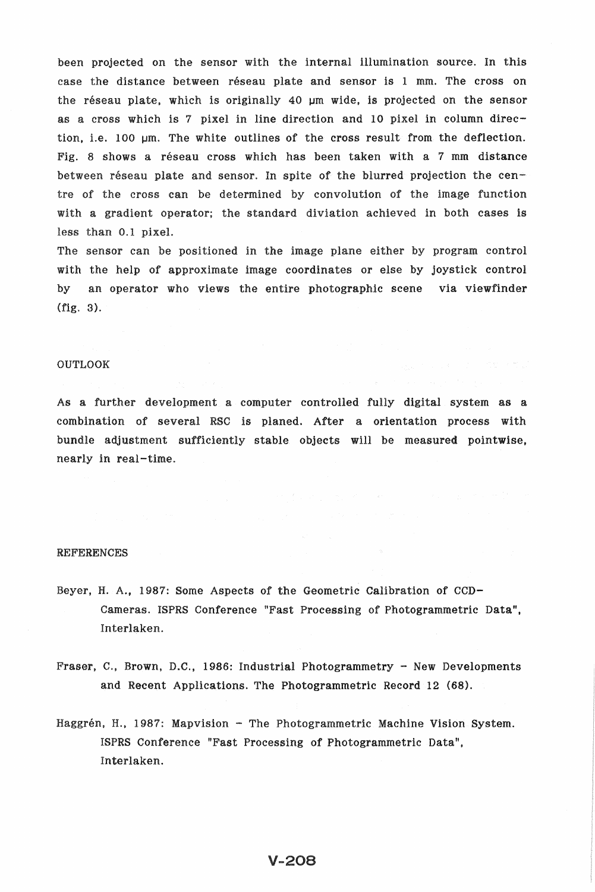been projected on the sensor with the internal illumination source. In this case the distance between reseau plate and sensor is 1 mm. The cross on the réseau plate, which is originally 40  $\mu$ m wide, is projected on the sensor as a cross which is 7 pixel in line direction and 10 pixel in column direction, i.e. 100 um. The white outlines of the cross result from the deflection. Fig. 8 shows a réseau cross which has been taken with a 7 mm distance between réseau plate and sensor. In spite of the blurred projection the centre of the cross can be determined by convolution of the image function with a gradient operator; the standard diviation achieved in both cases is less than 0.1

The sensor can be positioned in the image plane either by program control with the help of approximate image coordinates or else by joystick control by an operator who views the entire photographic scene via viewfinder (fig. 3).

### OUTLOOK

As a further development a computer controlled fully digital system as a combination of several RSC is planed. After a orientation process with bundle adjustment sufficiently stable objects will be measured pointwise, nearly in real-time.

#### REFERENCES

- Beyer, H. A., 1987: Some Aspects of the Geometric Calibration of CCD-Cameras. ISPRS Conference "Fast Processing of Photogrammetric Data", Interlaken.
- Fraser, C., Brown, D.C., 1986: Industrial Photogrammetry New Developments and Recent Applications. The Photogrammetric Record 12 (68).
- Haggrén, H., 1987: Mapvision The Photogrammetric Machine Vision System. ISPRS Conference "Fast Processing of Photogrammetric Data", Interlaken.

# **V-208**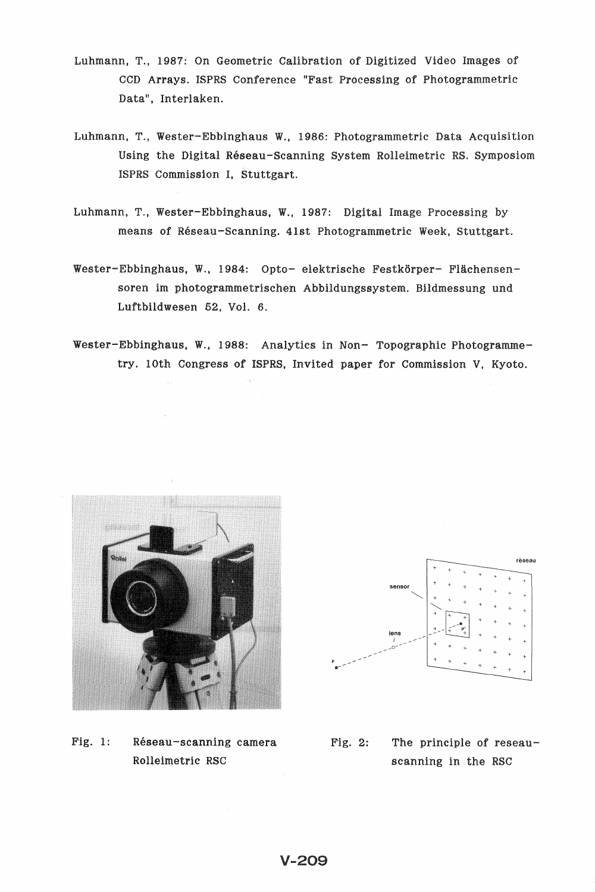- Luhmann, T., 1987: On Geometric Calibration of Digitized Video Images of CCD Arrays. ISPRS Conference "Fast Processing of Data", Interlaken.
- Luhmann, Wester-Ebbinghaus W., 1986: Photogrammetric Data Using the Digital Réseau-Scanning System Rolleimetric RS. ISPRS Commission I,
- Luhmann, T., Wester-Ebbinghaus, W., 1987: means of Réseau-Scanning. 41st
- W., 1984: Opto- elektrische soren im photogrammetrischen Abbildungssystem. Bildmessung und Luftbildwesen 52, Vol. 6.
- Wester-Ebbinghaus, W., 1988: Analytics in Non- Topographic Photogrammetry. lOth Congress of ISPRS, Invited paper for Commission V, Kyoto.



Fig. 1: Réseau-scanning camera Rolleimetric RSC



Fig. 2: The principle of reseauscanning in the RSC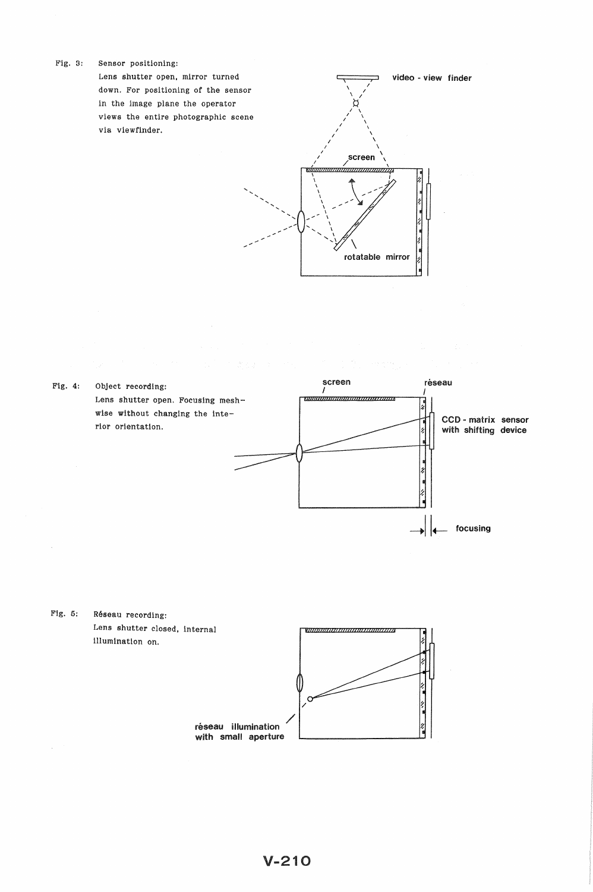